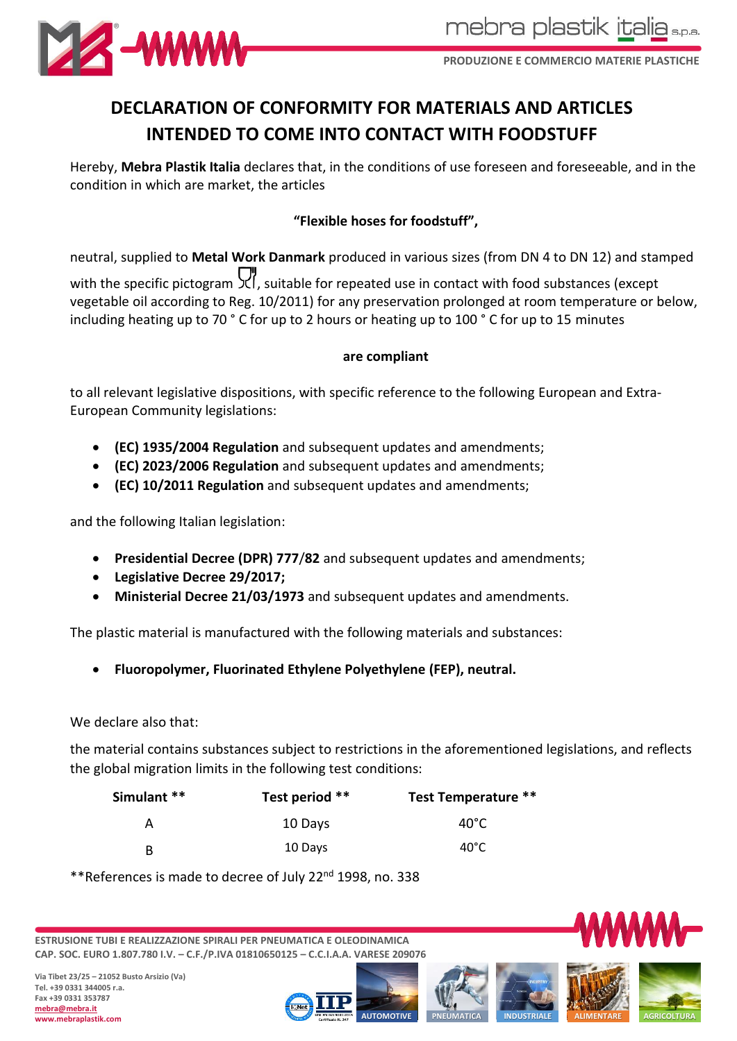

**PRODUZIONE E COMMERCIO MATERIE PLASTICHE**

# **DECLARATION OF CONFORMITY FOR MATERIALS AND ARTICLES INTENDED TO COME INTO CONTACT WITH FOODSTUFF**

Hereby, **Mebra Plastik Italia** declares that, in the conditions of use foreseen and foreseeable, and in the condition in which are market, the articles

# **"Flexible hoses for foodstuff",**

neutral, supplied to **Metal Work Danmark** produced in various sizes (from DN 4 to DN 12) and stamped with the specific pictogram  $\mathbb{U}$ , suitable for repeated use in contact with food substances (except vegetable oil according to Reg. 10/2011) for any preservation prolonged at room temperature or below, including heating up to 70 ° C for up to 2 hours or heating up to 100 ° C for up to 15 minutes

#### **are compliant**

to all relevant legislative dispositions, with specific reference to the following European and Extra-European Community legislations:

- **(EC) 1935/2004 Regulation** and subsequent updates and amendments;
- **(EC) 2023/2006 Regulation** and subsequent updates and amendments;
- **(EC) 10/2011 Regulation** and subsequent updates and amendments;

and the following Italian legislation:

- **Presidential Decree (DPR) 777**/**82** and subsequent updates and amendments;
- **Legislative Decree 29/2017;**
- **Ministerial Decree 21/03/1973** and subsequent updates and amendments.

The plastic material is manufactured with the following materials and substances:

• **Fluoropolymer, Fluorinated Ethylene Polyethylene (FEP), neutral.**

#### We declare also that:

the material contains substances subject to restrictions in the aforementioned legislations, and reflects the global migration limits in the following test conditions:

| Simulant ** | Test period ** | <b>Test Temperature **</b> |
|-------------|----------------|----------------------------|
| А           | 10 Days        | $40^{\circ}$ C             |
| B           | 10 Days        | $40^{\circ}$ C             |

\*\*References is made to decree of July 22nd 1998, no. 338

**ESTRUSIONE TUBI E REALIZZAZIONE SPIRALI PER PNEUMATICA E OLEODINAMICA CAP. SOC. EURO 1.807.780 I.V. – C.F./P.IVA 01810650125 – C.C.I.A.A. VARESE 209076**







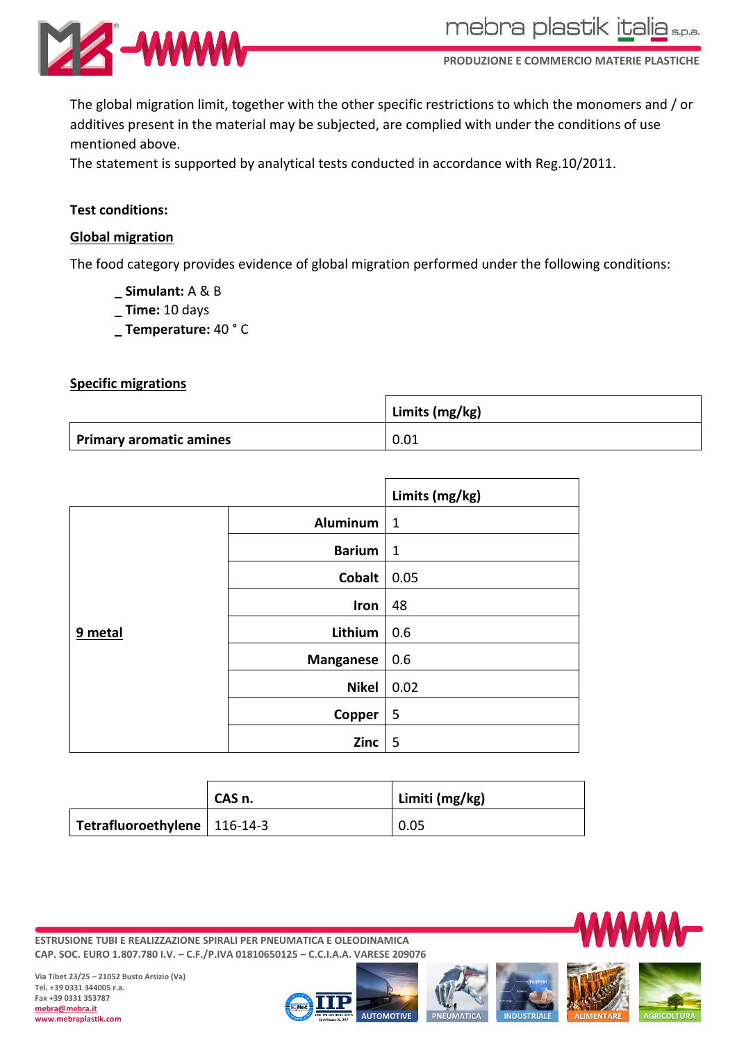

mebra plastik italia s.p.a.

**PRODUZIONE E COMMERCIO MATERIE PLASTICHE**

The global migration limit, together with the other specific restrictions to which the monomers and / or additives present in the material may be subjected, are complied with under the conditions of use mentioned above.

The statement is supported by analytical tests conducted in accordance with Reg.10/2011.

## **Test conditions:**

### **Global migration**

The food category provides evidence of global migration performed under the following conditions:

- **\_ Simulant:** A & B
- **\_ Time:** 10 days
- **\_ Temperature:** 40 ° C

#### **Specific migrations**

|                         | Limits (mg/kg) |
|-------------------------|----------------|
| Primary aromatic amines | 0.01           |

|         |                  | Limits (mg/kg) |
|---------|------------------|----------------|
| 9 metal | <b>Aluminum</b>  | $\mathbf{1}$   |
|         | <b>Barium</b>    | $\mathbf{1}$   |
|         | <b>Cobalt</b>    | 0.05           |
|         | Iron             | 48             |
|         | Lithium          | 0.6            |
|         | <b>Manganese</b> | 0.6            |
|         | <b>Nikel</b>     | 0.02           |
|         | Copper           | 5              |
|         | Zinc             | 5              |

|                                | CAS n. | Limiti (mg/kg) |
|--------------------------------|--------|----------------|
| Tetrafluoroethylene   116-14-3 |        | 0.05           |

**ESTRUSIONE TUBI E REALIZZAZIONE SPIRALI PER PNEUMATICA E OLEODINAMICA CAP. SOC. EURO 1.807.780 I.V. – C.F./P.IVA 01810650125 – C.C.I.A.A. VARESE 209076**



**Via Tibet 23/25 – 21052 Busto Arsizio (Va) Tel. +39 0331 344005 r.a. Fax +39 0331 353787 mebra@mebra.it www.mebraplastik.com**